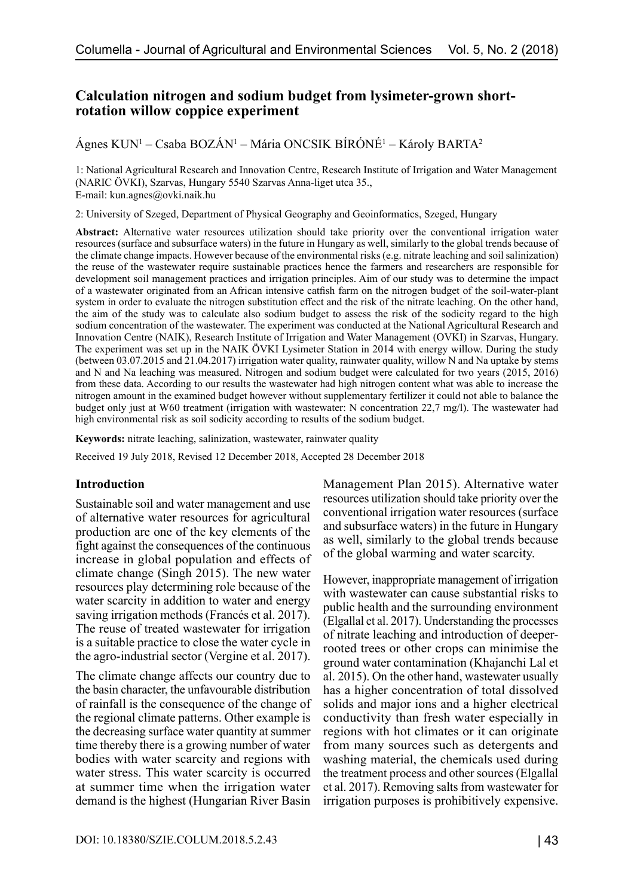# **Calculation nitrogen and sodium budget from lysimeter-grown shortrotation willow coppice experiment**

Ágnes KUN<sup>1</sup> – Csaba BOZÁN<sup>1</sup> – Mária ONCSIK BÍRÓNÉ<sup>1</sup> – Károly BARTA<sup>2</sup>

1: National Agricultural Research and Innovation Centre, Research Institute of Irrigation and Water Management (NARIC ÖVKI), Szarvas, Hungary 5540 Szarvas Anna-liget utca 35., E-mail: [kun.agnes@ovki.naik.hu](mailto:kun.agnes@ovki.naik.hu)

2: University of Szeged, Department of Physical Geography and Geoinformatics, Szeged, Hungary

**Abstract:** Alternative water resources utilization should take priority over the conventional irrigation water resources (surface and subsurface waters) in the future in Hungary as well, similarly to the global trends because of the climate change impacts. However because of the environmental risks (e.g. nitrate leaching and soil salinization) the reuse of the wastewater require sustainable practices hence the farmers and researchers are responsible for development soil management practices and irrigation principles. Aim of our study was to determine the impact of a wastewater originated from an African intensive catfish farm on the nitrogen budget of the soil-water-plant system in order to evaluate the nitrogen substitution effect and the risk of the nitrate leaching. On the other hand, the aim of the study was to calculate also sodium budget to assess the risk of the sodicity regard to the high sodium concentration of the wastewater. The experiment was conducted at the National Agricultural Research and Innovation Centre (NAIK), Research Institute of Irrigation and Water Management (OVKI) in Szarvas, Hungary. The experiment was set up in the NAIK ÖVKI Lysimeter Station in 2014 with energy willow. During the study (between 03.07.2015 and 21.04.2017) irrigation water quality, rainwater quality, willow N and Na uptake by stems and N and Na leaching was measured. Nitrogen and sodium budget were calculated for two years (2015, 2016) from these data. According to our results the wastewater had high nitrogen content what was able to increase the nitrogen amount in the examined budget however without supplementary fertilizer it could not able to balance the budget only just at W60 treatment (irrigation with wastewater: N concentration 22,7 mg/l). The wastewater had high environmental risk as soil sodicity according to results of the sodium budget.

**Keywords:** nitrate leaching, salinization, wastewater, rainwater quality

Received 19 July 2018, Revised 12 December 2018, Accepted 28 December 2018

#### **Introduction**

Sustainable soil and water management and use of alternative water resources for agricultural production are one of the key elements of the fight against the consequences of the continuous increase in global population and effects of climate change (Singh 2015). The new water resources play determining role because of the water scarcity in addition to water and energy saving irrigation methods (Francés et al. 2017). The reuse of treated wastewater for irrigation is a suitable practice to close the water cycle in the agro-industrial sector (Vergine et al. 2017).

The climate change affects our country due to the basin character, the unfavourable distribution of rainfall is the consequence of the change of the regional climate patterns. Other example is the decreasing surface water quantity at summer time thereby there is a growing number of water bodies with water scarcity and regions with water stress. This water scarcity is occurred at summer time when the irrigation water demand is the highest (Hungarian River Basin Management Plan 2015). Alternative water resources utilization should take priority over the conventional irrigation water resources (surface and subsurface waters) in the future in Hungary as well, similarly to the global trends because of the global warming and water scarcity.

However, inappropriate management of irrigation with wastewater can cause substantial risks to public health and the surrounding environment (Elgallal et al. 2017). Understanding the processes of nitrate leaching and introduction of deeperrooted trees or other crops can minimise the ground water contamination (Khajanchi Lal et al. 2015). On the other hand, wastewater usually has a higher concentration of total dissolved solids and major ions and a higher electrical conductivity than fresh water especially in regions with hot climates or it can originate from many sources such as detergents and washing material, the chemicals used during the treatment process and other sources (Elgallal et al. 2017). Removing salts from wastewater for irrigation purposes is prohibitively expensive.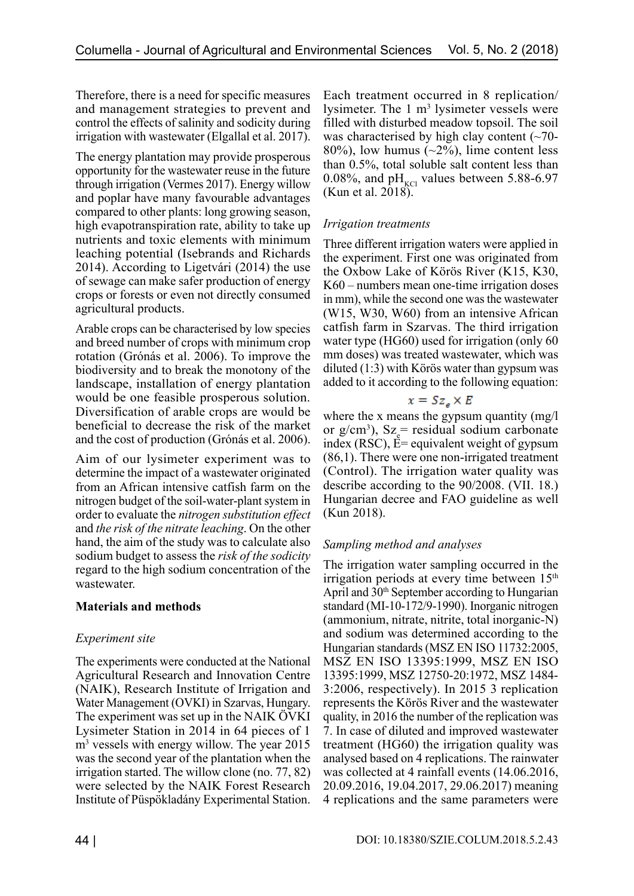Therefore, there is a need for specific measures and management strategies to prevent and control the effects of salinity and sodicity during irrigation with wastewater (Elgallal et al. 2017).

The energy plantation may provide prosperous opportunity for the wastewater reuse in the future through irrigation (Vermes 2017). Energy willow and poplar have many favourable advantages compared to other plants: long growing season, high evapotranspiration rate, ability to take up nutrients and toxic elements with minimum leaching potential (Isebrands and Richards 2014). According to Ligetvári (2014) the use of sewage can make safer production of energy crops or forests or even not directly consumed agricultural products.

Arable crops can be characterised by low species and breed number of crops with minimum crop rotation (Grónás et al. 2006). To improve the biodiversity and to break the monotony of the landscape, installation of energy plantation would be one feasible prosperous solution. Diversification of arable crops are would be beneficial to decrease the risk of the market and the cost of production (Grónás et al. 2006).

Aim of our lysimeter experiment was to determine the impact of a wastewater originated from an African intensive catfish farm on the nitrogen budget of the soil-water-plant system in order to evaluate the *nitrogen substitution effect*  and *the risk of the nitrate leaching*. On the other hand, the aim of the study was to calculate also sodium budget to assess the *risk of the sodicity* regard to the high sodium concentration of the wastewater.

## **Materials and methods**

#### *Experiment site*

The experiments were conducted at the National Agricultural Research and Innovation Centre (NAIK), Research Institute of Irrigation and Water Management (OVKI) in Szarvas, Hungary. The experiment was set up in the NAIK ÖVKI Lysimeter Station in 2014 in 64 pieces of 1 m3 vessels with energy willow. The year 2015 was the second year of the plantation when the irrigation started. The willow clone (no. 77, 82) were selected by the NAIK Forest Research Institute of Püspökladány Experimental Station.

Each treatment occurred in 8 replication/ lysimeter. The  $1 \text{ m}^3$  lysimeter vessels were filled with disturbed meadow topsoil. The soil was characterised by high clay content  $(\sim 70$ -80%), low humus  $(-2\%)$ , lime content less than 0.5%, total soluble salt content less than 0.08%, and  $pH_{KCl}$  values between 5.88-6.97 (Kun et al. 2018).

#### *Irrigation treatments*

Three different irrigation waters were applied in the experiment. First one was originated from the Oxbow Lake of Körös River (K15, K30, K60 – numbers mean one-time irrigation doses in mm), while the second one was the wastewater (W15, W30, W60) from an intensive African catfish farm in Szarvas. The third irrigation water type (HG60) used for irrigation (only 60 mm doses) was treated wastewater, which was diluted (1:3) with Körös water than gypsum was added to it according to the following equation:

#### $x = Sz_{e} \times E$

where the x means the gypsum quantity (mg/l or  $g/cm^3$ ),  $Sz$ <sub>e</sub> residual sodium carbonate index (RSC), E= equivalent weight of gypsum (86,1). There were one non-irrigated treatment (Control). The irrigation water quality was describe according to the 90/2008. (VII. 18.) Hungarian decree and FAO guideline as well (Kun 2018).

## *Sampling method and analyses*

The irrigation water sampling occurred in the irrigation periods at every time between  $15<sup>th</sup>$ April and  $30<sup>th</sup>$  September according to Hungarian standard (MI-10-172/9-1990). Inorganic nitrogen (ammonium, nitrate, nitrite, total inorganic-N) and sodium was determined according to the Hungarian standards (MSZ EN ISO 11732:2005, MSZ EN ISO 13395:1999, MSZ EN ISO 13395:1999, MSZ 12750-20:1972, MSZ 1484- 3:2006, respectively). In 2015 3 replication represents the Körös River and the wastewater quality, in 2016 the number of the replication was 7. In case of diluted and improved wastewater treatment (HG60) the irrigation quality was analysed based on 4 replications. The rainwater was collected at 4 rainfall events (14.06.2016, 20.09.2016, 19.04.2017, 29.06.2017) meaning 4 replications and the same parameters were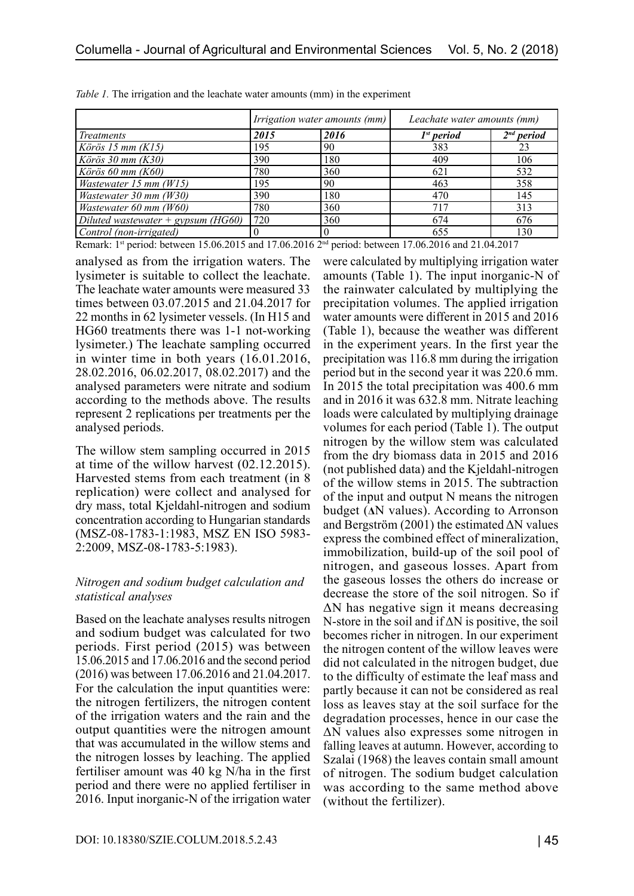|                                      |      | <i>Irrigation water amounts (mm)</i> | Leachate water amounts (mm) |                        |  |  |
|--------------------------------------|------|--------------------------------------|-----------------------------|------------------------|--|--|
| <i>Treatments</i>                    | 2015 | 2016                                 | 1 <sup>st</sup> period      | 2 <sup>nd</sup> period |  |  |
| Körös 15 mm $(K15)$                  | 195  | 90                                   | 383                         | 23                     |  |  |
| Körös 30 mm $(K30)$                  | 390  | 180                                  | 409                         | 106                    |  |  |
| Körös 60 mm $(K60)$                  | 780  | 360                                  | 621                         | 532                    |  |  |
| <i>Wastewater</i> 15 mm $(W15)$      | 195  | 90                                   | 463                         | 358                    |  |  |
| Wastewater 30 mm (W30)               | 390  | 180                                  | 470                         | 145                    |  |  |
| Wastewater 60 mm (W60)               | 780  | 360                                  | 717                         | 313                    |  |  |
| Diluted wastewater + $gypsum$ (HG60) | 720  | 360                                  | 674                         | 676                    |  |  |
| Control (non-irrigated)              |      |                                      | 655                         | 130                    |  |  |

*Table 1.* The irrigation and the leachate water amounts (mm) in the experiment

Remark: 1<sup>st</sup> period: between 15.06.2015 and 17.06.2016 2<sup>nd</sup> period: between 17.06.2016 and 21.04.2017

analysed as from the irrigation waters. The lysimeter is suitable to collect the leachate. The leachate water amounts were measured 33 times between 03.07.2015 and 21.04.2017 for 22 months in 62 lysimeter vessels. (In H15 and HG60 treatments there was 1-1 not-working lysimeter.) The leachate sampling occurred in winter time in both years (16.01.2016, 28.02.2016, 06.02.2017, 08.02.2017) and the analysed parameters were nitrate and sodium according to the methods above. The results represent 2 replications per treatments per the analysed periods.

The willow stem sampling occurred in 2015 at time of the willow harvest (02.12.2015). Harvested stems from each treatment (in 8 replication) were collect and analysed for dry mass, total Kjeldahl-nitrogen and sodium concentration according to Hungarian standards (MSZ-08-1783-1:1983, MSZ EN ISO 5983- 2:2009, MSZ-08-1783-5:1983).

#### *Nitrogen and sodium budget calculation and statistical analyses*

Based on the leachate analyses results nitrogen and sodium budget was calculated for two periods. First period (2015) was between 15.06.2015 and 17.06.2016 and the second period (2016) was between 17.06.2016 and 21.04.2017. For the calculation the input quantities were: the nitrogen fertilizers, the nitrogen content of the irrigation waters and the rain and the output quantities were the nitrogen amount that was accumulated in the willow stems and the nitrogen losses by leaching. The applied fertiliser amount was 40 kg N/ha in the first period and there were no applied fertiliser in 2016. Input inorganic-N of the irrigation water were calculated by multiplying irrigation water amounts (Table 1). The input inorganic-N of the rainwater calculated by multiplying the precipitation volumes. The applied irrigation water amounts were different in 2015 and 2016 (Table 1), because the weather was different in the experiment years. In the first year the precipitation was 116.8 mm during the irrigation period but in the second year it was 220.6 mm. In 2015 the total precipitation was 400.6 mm and in 2016 it was 632.8 mm. Nitrate leaching loads were calculated by multiplying drainage volumes for each period (Table 1). The output nitrogen by the willow stem was calculated from the dry biomass data in 2015 and 2016 (not published data) and the Kjeldahl-nitrogen of the willow stems in 2015. The subtraction of the input and output N means the nitrogen budget (**Δ**N values). According to Arronson and Bergström (2001) the estimated  $\Delta N$  values express the combined effect of mineralization, immobilization, build-up of the soil pool of nitrogen, and gaseous losses. Apart from the gaseous losses the others do increase or decrease the store of the soil nitrogen. So if ΔN has negative sign it means decreasing N-store in the soil and if ΔN is positive, the soil becomes richer in nitrogen. In our experiment the nitrogen content of the willow leaves were did not calculated in the nitrogen budget, due to the difficulty of estimate the leaf mass and partly because it can not be considered as real loss as leaves stay at the soil surface for the degradation processes, hence in our case the ΔN values also expresses some nitrogen in falling leaves at autumn. However, according to Szalai (1968) the leaves contain small amount of nitrogen. The sodium budget calculation was according to the same method above (without the fertilizer).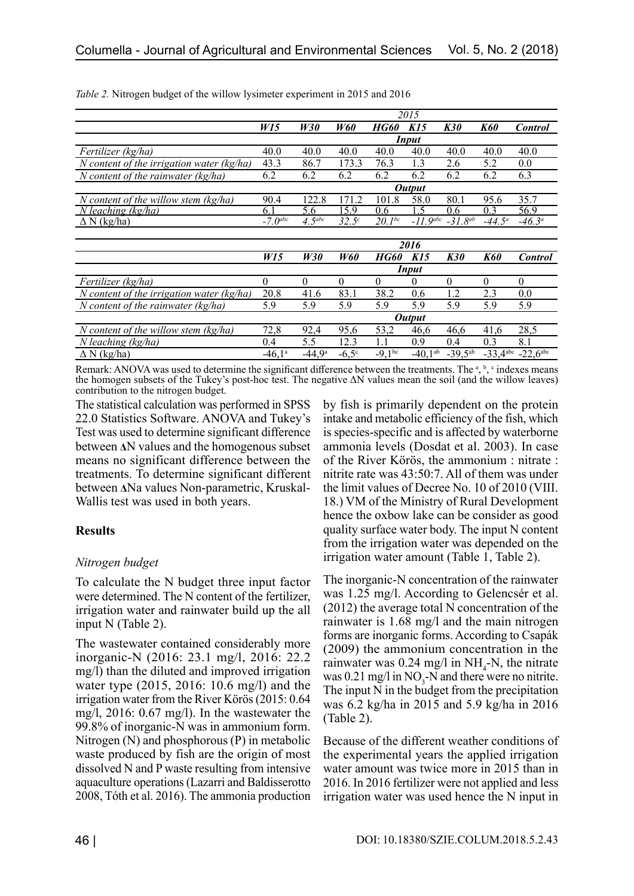|                                             | 2015                  |           |                   |                 |                 |              |                      |                      |  |
|---------------------------------------------|-----------------------|-----------|-------------------|-----------------|-----------------|--------------|----------------------|----------------------|--|
|                                             | W15                   | W30       | <b>W60</b>        | HG60            | K <sub>15</sub> | <b>K30</b>   | <b>K60</b>           | <b>Control</b>       |  |
|                                             | <b>Input</b>          |           |                   |                 |                 |              |                      |                      |  |
| Fertilizer (kg/ha)                          | 40.0                  | 40.0      | 40.0              | 40.0            | 40.0            | 40.0         | 40.0                 | 40.0                 |  |
| N content of the irrigation water $(kg/ha)$ | 43.3                  | 86.7      | 173.3             | 76.3            | 1.3             | 2.6          | 5.2                  | 0.0                  |  |
| N content of the rainwater (kg/ha)          | 6.2                   | 6.2       | 6.2               | 6.2             | 6.2             | 6.2          | 6.2                  | 6.3                  |  |
|                                             |                       |           |                   |                 | <b>Output</b>   |              |                      |                      |  |
| $N$ content of the willow stem (kg/ha)      | 90.4                  | 122.8     | 171.2             | 101.8           | 58.0            | 80.1         | 95.6                 | 35.7                 |  |
| $N$ leaching ( $\overline{kg}/ha$ )         | 6.1                   | 5.6       | 15.9              | $0.6^{\circ}$   |                 | 0.6          | 0.3                  | 56.9                 |  |
| $\Delta N$ (kg/ha)                          | $-7.0$ <sup>abc</sup> | $4.5$ abc | 32.5 <sup>c</sup> | $20.1^{bc}$     | $-11.9$ abc     | $-31.8^{ab}$ | $-44.5^a$            | $-46.3^a$            |  |
|                                             |                       |           |                   |                 |                 |              |                      |                      |  |
|                                             |                       | 2016      |                   |                 |                 |              |                      |                      |  |
|                                             | W <sub>15</sub>       | W30       | <b>W60</b>        | HG60            | K15             | <b>K30</b>   | <b>K60</b>           | <b>Control</b>       |  |
|                                             |                       |           |                   | <b>Input</b>    |                 |              |                      |                      |  |
| Fertilizer (kg/ha)                          | $\theta$              | $\theta$  | $\theta$          | $\theta$        | 0               | 0            | $\theta$             | $\theta$             |  |
| N content of the irrigation water $(kg/ha)$ | 20.8                  | 41.6      | 83.1              | 38.2            | 0.6             | 1.2          | 2.3                  | 0.0                  |  |
| N content of the rainwater $(kg/ha)$        | 5.9                   | 5.9       | 5.9               | 5.9             | 5.9             | 5.9          | 5.9                  | 5.9                  |  |
|                                             |                       |           |                   | <b>Output</b>   |                 |              |                      |                      |  |
| N content of the willow stem $(kg/ha)$      | 72,8                  | 92,4      | 95,6              | 53,2            | 46,6            | 46,6         | 41,6                 | 28,5                 |  |
| $N$ leaching $(kg/ha)$                      | 0.4                   | 5.5       | 12.3              | 1.1             | 0.9             | 0.4          | 0.3                  | 8.1                  |  |
| $\Delta N$ (kg/ha)                          | $-46.1^{\circ}$       | $-44.9a$  | $-6,5^\circ$      | $-9,1^{\rm bc}$ | $-40.1^{ab}$    | $-39,5^{ab}$ | $-33,4^{\text{abc}}$ | $-22,6^{\text{abc}}$ |  |

*Table 2.* Nitrogen budget of the willow lysimeter experiment in 2015 and 2016

Remark: ANOVA was used to determine the significant difference between the treatments. The  $a, b, c$  indexes means the homogen subsets of the Tukey's post-hoc test. The negative ΔN values mean the soil (and the willow leaves) contribution to the nitrogen budget.

The statistical calculation was performed in SPSS 22.0 Statistics Software. ANOVA and Tukey's Test was used to determine significant difference between **Δ**N values and the homogenous subset means no significant difference between the treatments. To determine significant different between **Δ**Na values Non-parametric, Kruskal-Wallis test was used in both years.

## **Results**

## *Nitrogen budget*

To calculate the N budget three input factor were determined. The N content of the fertilizer, irrigation water and rainwater build up the all input N (Table 2).

The wastewater contained considerably more inorganic-N (2016: 23.1 mg/l, 2016: 22.2 mg/l) than the diluted and improved irrigation water type (2015, 2016: 10.6 mg/l) and the irrigation water from the River Körös (2015: 0.64 mg/l, 2016: 0.67 mg/l). In the wastewater the 99.8% of inorganic-N was in ammonium form. Nitrogen (N) and phosphorous (P) in metabolic waste produced by fish are the origin of most dissolved N and P waste resulting from intensive aquaculture operations (Lazarri and Baldisserotto 2008, Tóth et al. 2016). The ammonia production by fish is primarily dependent on the protein intake and metabolic efficiency of the fish, which is species-specific and is affected by waterborne ammonia levels (Dosdat et al. 2003). In case of the River Körös, the ammonium : nitrate : nitrite rate was 43:50:7. All of them was under the limit values of Decree No. 10 of 2010 (VIII. 18.) VM of the Ministry of Rural Development hence the oxbow lake can be consider as good quality surface water body. The input N content from the irrigation water was depended on the irrigation water amount (Table 1, Table 2).

The inorganic-N concentration of the rainwater was 1.25 mg/l. According to Gelencsér et al. (2012) the average total N concentration of the rainwater is 1.68 mg/l and the main nitrogen forms are inorganic forms. According to Csapák (2009) the ammonium concentration in the rainwater was  $0.24 \text{ mg/l}$  in NH<sub>4</sub>-N, the nitrate was  $0.21 \text{ mg/l}$  in NO<sub>3</sub>-N and there were no nitrite. The input N in the budget from the precipitation was 6.2 kg/ha in 2015 and 5.9 kg/ha in 2016 (Table 2).

Because of the different weather conditions of the experimental years the applied irrigation water amount was twice more in 2015 than in 2016. In 2016 fertilizer were not applied and less irrigation water was used hence the N input in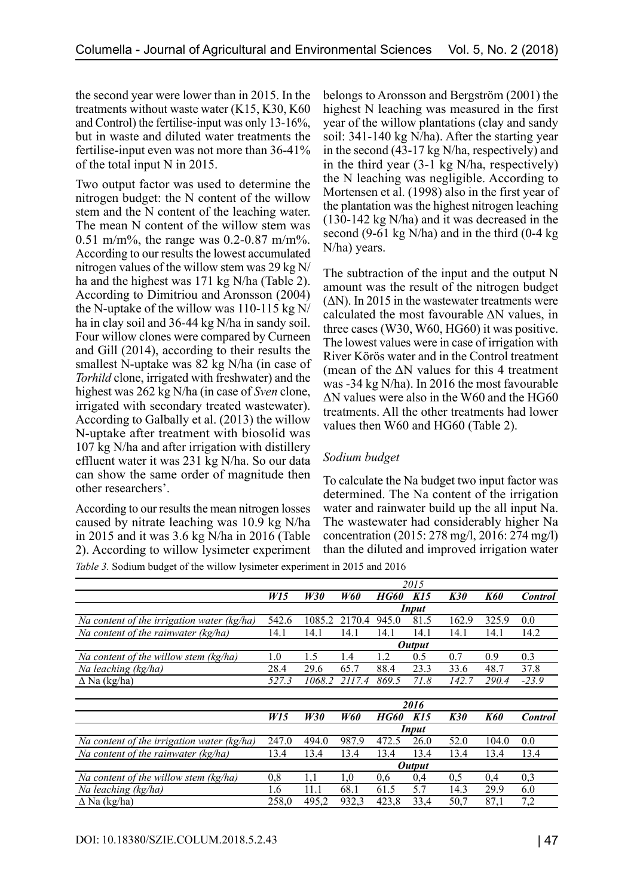the second year were lower than in 2015. In the treatments without waste water (K15, K30, K60 and Control) the fertilise-input was only 13-16%, but in waste and diluted water treatments the fertilise-input even was not more than 36-41% of the total input N in 2015.

Two output factor was used to determine the nitrogen budget: the N content of the willow stem and the N content of the leaching water. The mean N content of the willow stem was 0.51 m/m%, the range was 0.2-0.87 m/m%. According to our results the lowest accumulated nitrogen values of the willow stem was 29 kg N/ ha and the highest was 171 kg N/ha (Table 2). According to Dimitriou and Aronsson (2004) the N-uptake of the willow was 110-115 kg N/ ha in clay soil and 36-44 kg N/ha in sandy soil. Four willow clones were compared by Curneen and Gill (2014), according to their results the smallest N-uptake was 82 kg N/ha (in case of *Torhild* clone, irrigated with freshwater) and the highest was 262 kg N/ha (in case of *Sven* clone, irrigated with secondary treated wastewater). According to Galbally et al. (2013) the willow N-uptake after treatment with biosolid was 107 kg N/ha and after irrigation with distillery effluent water it was 231 kg N/ha. So our data can show the same order of magnitude then other researchers'.

According to our results the mean nitrogen losses caused by nitrate leaching was 10.9 kg N/ha in 2015 and it was 3.6 kg N/ha in 2016 (Table 2). According to willow lysimeter experiment belongs to Aronsson and Bergström (2001) the highest N leaching was measured in the first year of the willow plantations (clay and sandy soil: 341-140 kg N/ha). After the starting year in the second (43-17 kg N/ha, respectively) and in the third year (3-1 kg N/ha, respectively) the N leaching was negligible. According to Mortensen et al. (1998) also in the first year of the plantation was the highest nitrogen leaching (130-142 kg N/ha) and it was decreased in the second (9-61 kg N/ha) and in the third (0-4 kg N/ha) years.

The subtraction of the input and the output N amount was the result of the nitrogen budget  $(\Delta N)$ . In 2015 in the wastewater treatments were calculated the most favourable ΔN values, in three cases (W30, W60, HG60) it was positive. The lowest values were in case of irrigation with River Körös water and in the Control treatment (mean of the ΔN values for this 4 treatment was -34 kg N/ha). In 2016 the most favourable ΔN values were also in the W60 and the HG60 treatments. All the other treatments had lower values then W60 and HG60 (Table 2).

## *Sodium budget*

To calculate the Na budget two input factor was determined. The Na content of the irrigation water and rainwater build up the all input Na. The wastewater had considerably higher Na concentration (2015: 278 mg/l, 2016: 274 mg/l) than the diluted and improved irrigation water

*Table 3.* Sodium budget of the willow lysimeter experiment in 2015 and 2016

|                                              | 2015          |        |            |               |      |            |            |                |
|----------------------------------------------|---------------|--------|------------|---------------|------|------------|------------|----------------|
|                                              | W15           | W30    | W60        | <b>HG60</b>   | K15  | <b>K30</b> | K60        | <b>Control</b> |
|                                              | <b>Input</b>  |        |            |               |      |            |            |                |
| Na content of the irrigation water (kg/ha)   | 542.6         | 1085.2 | 2170.4     | 945.0         | 81.5 | 162.9      | 325.9      | 0.0            |
| Na content of the rainwater (kg/ha)          | 14.1          | 14.1   | 14.1       | 14.1          | 14.1 | 14.1       | 14.1       | 14.2           |
|                                              |               |        |            | <b>Output</b> |      |            |            |                |
| Na content of the willow stem (kg/ha)        | 1.0           | 1.5    | 1.4        | 1.2           | 0.5  | 0.7        | 0.9        | 0.3            |
| Na leaching (kg/ha)                          | 28.4          | 29.6   | 65.7       | 88.4          | 23.3 | 33.6       | 48.7       | 37.8           |
| $\Delta$ Na (kg/ha)                          | 527.3         | 1068.2 | 2117.4     | 869.5         | 71.8 | 142.7      | 290.4      | $-23.9$        |
|                                              |               |        |            |               |      |            |            |                |
|                                              |               | 2016   |            |               |      |            |            |                |
|                                              | W15           | W30    | <b>W60</b> | HG60          | K15  | <b>K30</b> | <b>K60</b> | <b>Control</b> |
|                                              |               |        |            | Input         |      |            |            |                |
| Na content of the irrigation water $(kg/ha)$ | 247.0         | 494.0  | 987.9      | 472.5         | 26.0 | 52.0       | 104.0      | 0.0            |
| Na content of the rainwater $(kg/ha)$        | 13.4          | 13.4   | 13.4       | 13.4          | 13.4 | 13.4       | 13.4       | 13.4           |
|                                              | <b>Output</b> |        |            |               |      |            |            |                |
| Na content of the willow stem (kg/ha)        | 0,8           | 1,1    | 1,0        | 0,6           | 0,4  | 0,5        | 0,4        | 0,3            |
| Na leaching (kg/ha)                          | 1.6           | 11.1   | 68.1       | 61.5          | 5.7  | 14.3       | 29.9       | 6.0            |
| $\overline{\Delta}$ Na (kg/ha)               | 258.0         | 495,2  | 932,3      | 423,8         | 33,4 | 50,7       | 87,1       | 7,2            |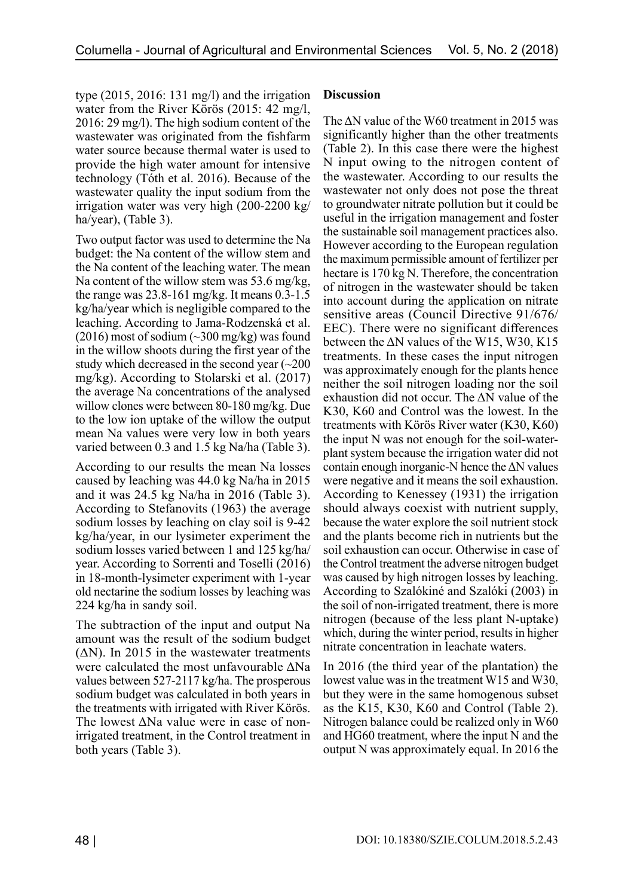type (2015, 2016: 131 mg/l) and the irrigation water from the River Körös (2015: 42 mg/l, 2016: 29 mg/l). The high sodium content of the wastewater was originated from the fishfarm water source because thermal water is used to provide the high water amount for intensive technology (Tóth et al. 2016). Because of the wastewater quality the input sodium from the irrigation water was very high (200-2200 kg/ ha/year), (Table 3).

Two output factor was used to determine the Na budget: the Na content of the willow stem and the Na content of the leaching water. The mean Na content of the willow stem was 53.6 mg/kg, the range was 23.8-161 mg/kg. It means 0.3-1.5 kg/ha/year which is negligible compared to the leaching. According to Jama-Rodzenská et al.  $(2016)$  most of sodium  $(\sim]300$  mg/kg) was found in the willow shoots during the first year of the study which decreased in the second year  $\sim 200$ mg/kg). According to Stolarski et al. (2017) the average Na concentrations of the analysed willow clones were between 80-180 mg/kg. Due to the low ion uptake of the willow the output mean Na values were very low in both years varied between 0.3 and 1.5 kg Na/ha (Table 3).

According to our results the mean Na losses caused by leaching was 44.0 kg Na/ha in 2015 and it was 24.5 kg Na/ha in 2016 (Table 3). According to Stefanovits (1963) the average sodium losses by leaching on clay soil is 9-42 kg/ha/year, in our lysimeter experiment the sodium losses varied between 1 and 125 kg/ha/ year. According to Sorrenti and Toselli (2016) in 18-month-lysimeter experiment with 1-year old nectarine the sodium losses by leaching was 224 kg/ha in sandy soil.

The subtraction of the input and output Na amount was the result of the sodium budget  $(\Delta N)$ . In 2015 in the wastewater treatments were calculated the most unfavourable ΔNa values between 527-2117 kg/ha. The prosperous sodium budget was calculated in both years in the treatments with irrigated with River Körös. The lowest ΔNa value were in case of nonirrigated treatment, in the Control treatment in both years (Table 3).

#### **Discussion**

The  $\Delta N$  value of the W60 treatment in 2015 was significantly higher than the other treatments (Table 2). In this case there were the highest N input owing to the nitrogen content of the wastewater. According to our results the wastewater not only does not pose the threat to groundwater nitrate pollution but it could be useful in the irrigation management and foster the sustainable soil management practices also. However according to the European regulation the maximum permissible amount of fertilizer per hectare is 170 kg N. Therefore, the concentration of nitrogen in the wastewater should be taken into account during the application on nitrate sensitive areas (Council Directive 91/676/ EEC). There were no significant differences between the  $\Delta N$  values of the W15, W30, K15 treatments. In these cases the input nitrogen was approximately enough for the plants hence neither the soil nitrogen loading nor the soil exhaustion did not occur. The ΔN value of the K30, K60 and Control was the lowest. In the treatments with Körös River water (K30, K60) the input N was not enough for the soil-waterplant system because the irrigation water did not contain enough inorganic-N hence the  $\Delta N$  values were negative and it means the soil exhaustion. According to Kenessey (1931) the irrigation should always coexist with nutrient supply, because the water explore the soil nutrient stock and the plants become rich in nutrients but the soil exhaustion can occur. Otherwise in case of the Control treatment the adverse nitrogen budget was caused by high nitrogen losses by leaching. According to Szalókiné and Szalóki (2003) in the soil of non-irrigated treatment, there is more nitrogen (because of the less plant N-uptake) which, during the winter period, results in higher nitrate concentration in leachate waters.

In 2016 (the third year of the plantation) the lowest value was in the treatment W15 and W30, but they were in the same homogenous subset as the K15, K30, K60 and Control (Table 2). Nitrogen balance could be realized only in W60 and HG60 treatment, where the input N and the output N was approximately equal. In 2016 the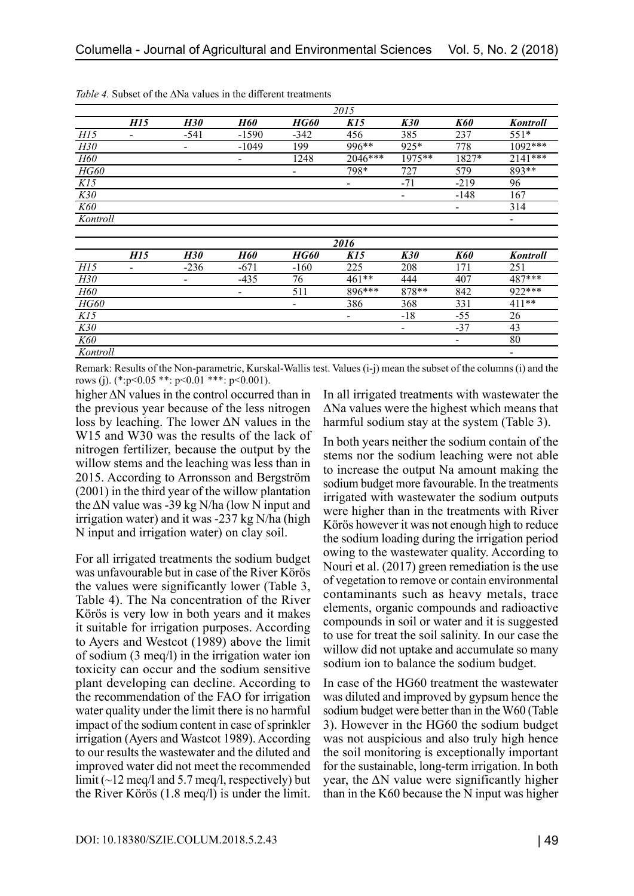|             | 2015            |            |                 |        |                 |                          |            |                 |  |  |
|-------------|-----------------|------------|-----------------|--------|-----------------|--------------------------|------------|-----------------|--|--|
|             | H <sub>15</sub> | <b>H30</b> | <b>H60</b>      | HG60   | K <sub>15</sub> | <b>K30</b>               | <b>K60</b> | Kontroll        |  |  |
| H15         |                 | $-541$     | $-1590$         | $-342$ | 456             | 385                      | 237        | $551*$          |  |  |
| H30         |                 | -          | $-1049$         | 199    | 996**           | 925*                     | 778        | 1092***         |  |  |
| <b>H60</b>  |                 |            | $\qquad \qquad$ | 1248   | 2046***         | 1975**                   | 1827*      | 2141***         |  |  |
| <b>HG60</b> |                 |            |                 | -      | 798*            | 727                      | 579        | 893**           |  |  |
| K15         |                 |            |                 |        | -               | $-71$                    | $-219$     | 96              |  |  |
| K30         |                 |            |                 |        |                 | $\overline{\phantom{a}}$ | $-148$     | 167             |  |  |
| K60         |                 |            |                 |        |                 |                          | -          | 314             |  |  |
| Kontroll    |                 |            |                 |        |                 |                          |            | -               |  |  |
|             |                 |            |                 |        |                 |                          |            |                 |  |  |
|             | 2016            |            |                 |        |                 |                          |            |                 |  |  |
|             | H15             | <b>H30</b> | <b>H60</b>      | HG60   | K15             | <b>K30</b>               | <b>K60</b> | <b>Kontroll</b> |  |  |
| H15         |                 | $-236$     | $-671$          | $-160$ | 225             | 208                      | 171        | 251             |  |  |
| H30         |                 |            | $-435$          | 76     | $461**$         | 444                      | 407        | 487***          |  |  |
| H60         |                 |            | $\qquad \qquad$ | 511    | 896***          | 878**                    | 842        | 922***          |  |  |
| <b>HG60</b> |                 |            |                 | -      | 386             | 368                      | 331        | $411**$         |  |  |
| K15         |                 |            |                 |        | -               | $-18$                    | -55        | 26              |  |  |

*Table 4.* Subset of the ∆Na values in the different treatments

Remark: Results of the Non-parametric, Kurskal-Wallis test. Values (i-j) mean the subset of the columns (i) and the rows (j). (\*:p<0.05 \*\*: p<0.01 \*\*\*: p<0.001).

*K30* - - -37 43  $K60$  **80** *Kontroll* -

higher ΔN values in the control occurred than in the previous year because of the less nitrogen loss by leaching. The lower ΔN values in the W15 and W30 was the results of the lack of nitrogen fertilizer, because the output by the willow stems and the leaching was less than in 2015. According to Arronsson and Bergström (2001) in the third year of the willow plantation the  $\Delta N$  value was -39 kg N/ha (low N input and irrigation water) and it was -237 kg N/ha (high N input and irrigation water) on clay soil.

For all irrigated treatments the sodium budget was unfavourable but in case of the River Körös the values were significantly lower (Table 3, Table 4). The Na concentration of the River Körös is very low in both years and it makes it suitable for irrigation purposes. According to Ayers and Westcot (1989) above the limit of sodium (3 meq/l) in the irrigation water ion toxicity can occur and the sodium sensitive plant developing can decline. According to the recommendation of the FAO for irrigation water quality under the limit there is no harmful impact of the sodium content in case of sprinkler irrigation (Ayers and Wastcot 1989). According to our results the wastewater and the diluted and improved water did not meet the recommended limit (~12 meq/l and 5.7 meq/l, respectively) but the River Körös (1.8 meq/l) is under the limit.

In all irrigated treatments with wastewater the ΔNa values were the highest which means that harmful sodium stay at the system (Table 3).

In both years neither the sodium contain of the stems nor the sodium leaching were not able to increase the output Na amount making the sodium budget more favourable. In the treatments irrigated with wastewater the sodium outputs were higher than in the treatments with River Körös however it was not enough high to reduce the sodium loading during the irrigation period owing to the wastewater quality. According to Nouri et al. (2017) green remediation is the use of vegetation to remove or contain environmental contaminants such as heavy metals, trace elements, organic compounds and radioactive compounds in soil or water and it is suggested to use for treat the soil salinity. In our case the willow did not uptake and accumulate so many sodium ion to balance the sodium budget.

In case of the HG60 treatment the wastewater was diluted and improved by gypsum hence the sodium budget were better than in the W60 (Table 3). However in the HG60 the sodium budget was not auspicious and also truly high hence the soil monitoring is exceptionally important for the sustainable, long-term irrigation. In both year, the  $\Delta N$  value were significantly higher than in the K60 because the N input was higher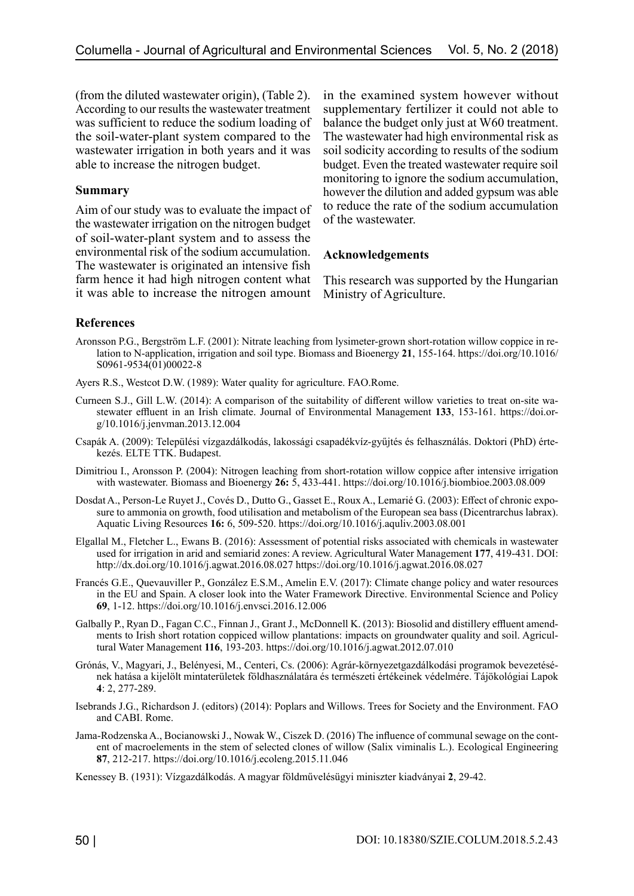(from the diluted wastewater origin), (Table 2). According to our results the wastewater treatment was sufficient to reduce the sodium loading of the soil-water-plant system compared to the wastewater irrigation in both years and it was able to increase the nitrogen budget.

#### **Summary**

Aim of our study was to evaluate the impact of the wastewater irrigation on the nitrogen budget of soil-water-plant system and to assess the environmental risk of the sodium accumulation. The wastewater is originated an intensive fish farm hence it had high nitrogen content what it was able to increase the nitrogen amount in the examined system however without supplementary fertilizer it could not able to balance the budget only just at W60 treatment. The wastewater had high environmental risk as soil sodicity according to results of the sodium budget. Even the treated wastewater require soil monitoring to ignore the sodium accumulation, however the dilution and added gypsum was able to reduce the rate of the sodium accumulation of the wastewater.

#### **Acknowledgements**

This research was supported by the Hungarian Ministry of Agriculture.

#### **References**

- Aronsson P.G., Bergström L.F. (2001): Nitrate leaching from lysimeter-grown short-rotation willow coppice in relation to N-application, irrigation and soil type. Biomass and Bioenergy **21**, 155-164. [https://doi.org/10.1016/](https://doi.org/10.1016/S0961-9534(01)00022-8) [S0961-9534\(01\)00022-8](https://doi.org/10.1016/S0961-9534(01)00022-8)
- Ayers R.S., Westcot D.W. (1989): Water quality for agriculture. FAO.Rome.
- Curneen S.J., Gill L.W. (2014): A comparison of the suitability of different willow varieties to treat on-site wastewater effluent in an Irish climate. Journal of Environmental Management **133**, 153-161. https://doi.org/10.1016/j.jenvman.2013.12.004
- Csapák A. (2009): Települési vízgazdálkodás, lakossági csapadékvíz-gyűjtés és felhasználás. Doktori (PhD) értekezés. ELTE TTK. Budapest.
- Dimitriou I., Aronsson P. (2004): Nitrogen leaching from short-rotation willow coppice after intensive irrigation with wastewater. Biomass and Bioenergy **26:** 5, 433-441. https://doi.org/10.1016/j.biombioe.2003.08.009
- Dosdat A., Person-Le Ruyet J., Covés D., Dutto G., Gasset E., Roux A., Lemarié G. (2003): Effect of chronic exposure to ammonia on growth, food utilisation and metabolism of the European sea bass (Dicentrarchus labrax). Aquatic Living Resources **16:** 6, 509-520. https://doi.org/10.1016/j.aquliv.2003.08.001
- Elgallal M., Fletcher L., Ewans B. (2016): Assessment of potential risks associated with chemicals in wastewater used for irrigation in arid and semiarid zones: A review. Agricultural Water Management **177**, 419-431. DOI: <http://dx.doi.org/10.1016/j.agwat.2016.08.027> https://doi.org/10.1016/j.agwat.2016.08.027
- Francés G.E., Quevauviller P., González E.S.M., Amelin E.V. (2017): Climate change policy and water resources in the EU and Spain. A closer look into the Water Framework Directive. Environmental Science and Policy **69**, 1-12. https://doi.org/10.1016/j.envsci.2016.12.006
- Galbally P., Ryan D., Fagan C.C., Finnan J., Grant J., McDonnell K. (2013): Biosolid and distillery effluent amendments to Irish short rotation coppiced willow plantations: impacts on groundwater quality and soil. Agricultural Water Management **116**, 193-203. https://doi.org/10.1016/j.agwat.2012.07.010
- Grónás, V., Magyari, J., Belényesi, M., Centeri, Cs. (2006): Agrár-környezetgazdálkodási programok bevezetésének hatása a kijelölt mintaterületek földhasználatára és természeti értékeinek védelmére. Tájökológiai Lapok **4**: 2, 277-289.
- Isebrands J.G., Richardson J. (editors) (2014): Poplars and Willows. Trees for Society and the Environment. FAO and CABI. Rome.
- Jama-Rodzenska A., Bocianowski J., Nowak W., Ciszek D. (2016) The influence of communal sewage on the content of macroelements in the stem of selected clones of willow (Salix viminalis L.). Ecological Engineering **87**, 212-217. https://doi.org/10.1016/j.ecoleng.2015.11.046
- Kenessey B. (1931): Vízgazdálkodás. A magyar földművelésügyi miniszter kiadványai **2**, 29-42.